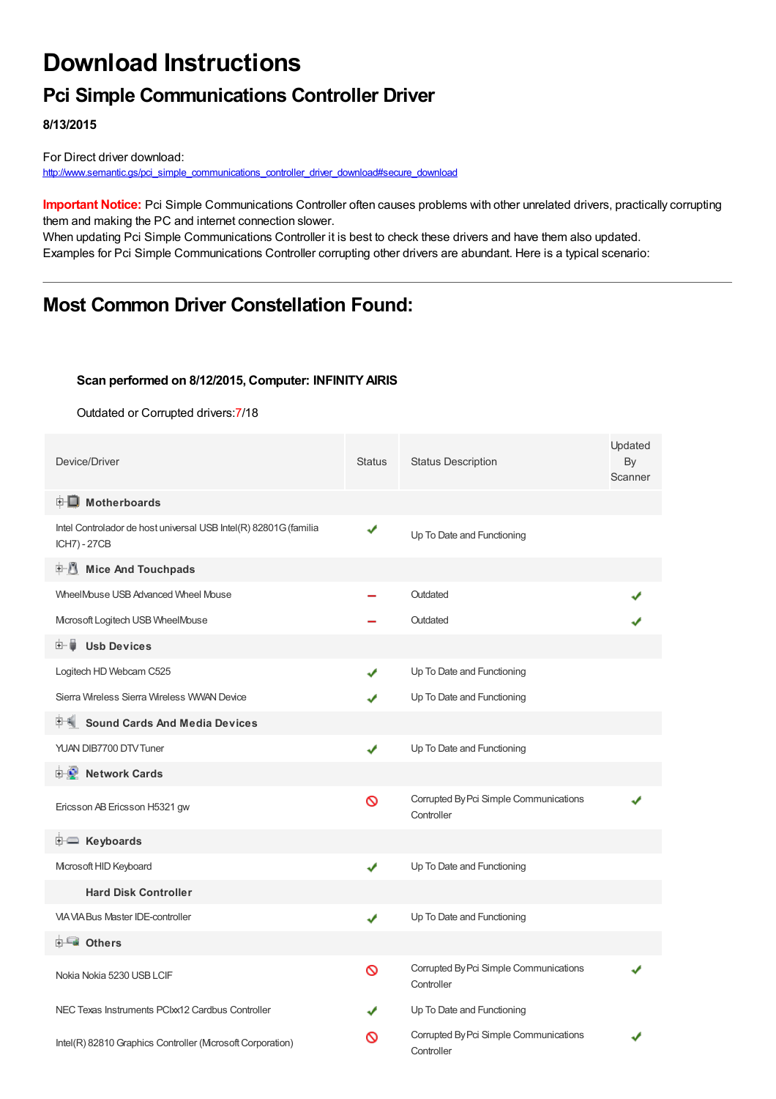# **Download Instructions**

## **Pci Simple Communications Controller Driver**

**8/13/2015**

For Direct driver download: [http://www.semantic.gs/pci\\_simple\\_communications\\_controller\\_driver\\_download#secure\\_download](http://www.semantic.gs/pci_simple_communications_controller_driver_download#secure_download)

**Important Notice:** Pci Simple Communications Controller often causes problems with other unrelated drivers, practically corrupting them and making the PC and internet connection slower.

When updating Pci Simple Communications Controller it is best to check these drivers and have them also updated. Examples for Pci Simple Communications Controller corrupting other drivers are abundant. Here is a typical scenario:

## **Most Common Driver Constellation Found:**

#### **Scan performed on 8/12/2015, Computer: INFINITYAIRIS**

Outdated or Corrupted drivers:7/18

| Device/Driver                                                                    | <b>Status</b> | <b>Status Description</b>                            | Updated<br>By<br>Scanner |
|----------------------------------------------------------------------------------|---------------|------------------------------------------------------|--------------------------|
| <b>E</b> Motherboards                                                            |               |                                                      |                          |
| Intel Controlador de host universal USB Intel(R) 82801G (familia<br>ICH7) - 27CB | ✔             | Up To Date and Functioning                           |                          |
| <b>E</b> Mice And Touchpads                                                      |               |                                                      |                          |
| WheelMouse USB Advanced Wheel Mouse                                              |               | Outdated                                             |                          |
| Microsoft Logitech USB WheelMouse                                                |               | Outdated                                             |                          |
| Ė- U<br><b>Usb Devices</b>                                                       |               |                                                      |                          |
| Logitech HD Webcam C525                                                          | ✔             | Up To Date and Functioning                           |                          |
| Sierra Wireless Sierra Wireless WWAN Device                                      | ✔             | Up To Date and Functioning                           |                          |
| <b>Sound Cards And Media Devices</b>                                             |               |                                                      |                          |
| YUAN DIB7700 DTV Tuner                                                           | ✔             | Up To Date and Functioning                           |                          |
| 中心 Network Cards                                                                 |               |                                                      |                          |
| Ericsson AB Ericsson H5321 gw                                                    | Ø             | Corrupted By Pci Simple Communications<br>Controller |                          |
| E Keyboards                                                                      |               |                                                      |                          |
| Microsoft HID Keyboard                                                           | ✔             | Up To Date and Functioning                           |                          |
| <b>Hard Disk Controller</b>                                                      |               |                                                      |                          |
| <b>VIA VIA Bus Master IDE-controller</b>                                         | ✔             | Up To Date and Functioning                           |                          |
| <b>E</b> Others                                                                  |               |                                                      |                          |
| Nokia Nokia 5230 USB LCIF                                                        | ∾             | Corrupted By Pci Simple Communications<br>Controller |                          |
| NEC Texas Instruments PCIxx12 Cardbus Controller                                 |               | Up To Date and Functioning                           |                          |
| Intel(R) 82810 Graphics Controller (Mcrosoft Corporation)                        | လ             | Corrupted By Pci Simple Communications<br>Controller |                          |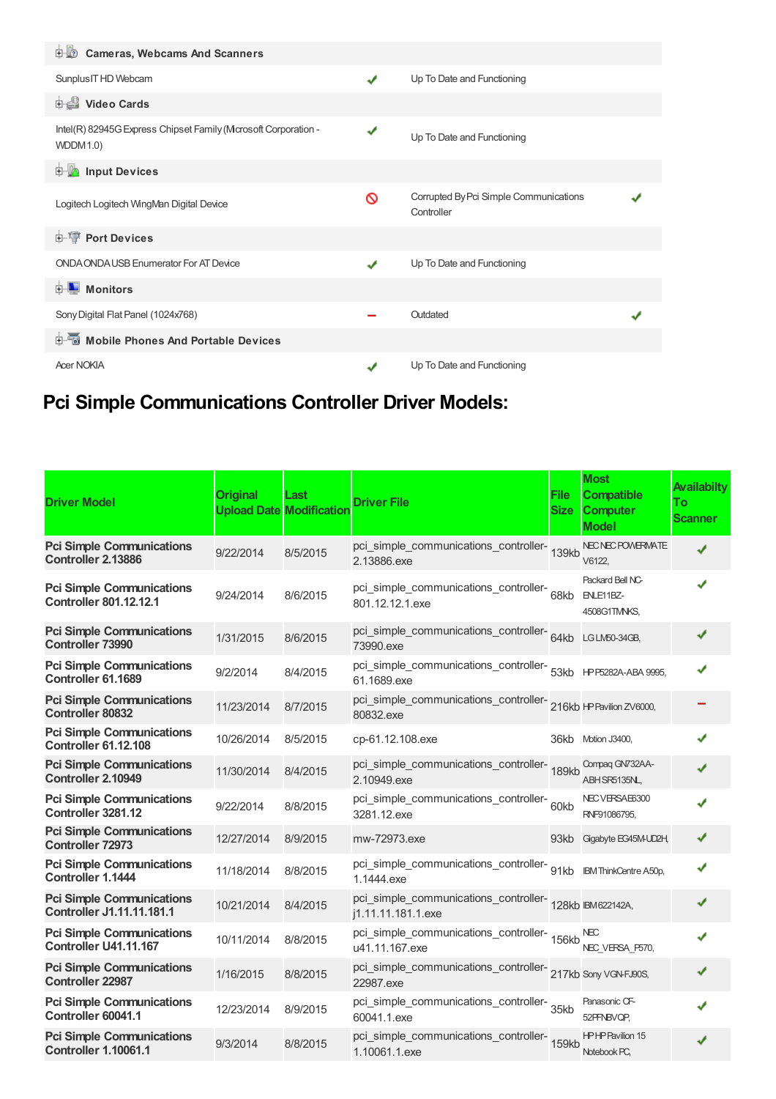| <b>D</b> Cameras, Webcams And Scanners                                            |   |                                                      |  |
|-----------------------------------------------------------------------------------|---|------------------------------------------------------|--|
| Sunplus IT HD Webcam                                                              | ✔ | Up To Date and Functioning                           |  |
| Video Cards                                                                       |   |                                                      |  |
| Intel(R) 82945G Express Chipset Family (Mcrosoft Corporation -<br><b>WDDM1.0)</b> | ✔ | Up To Date and Functioning                           |  |
| <b>Devices</b> Input Devices                                                      |   |                                                      |  |
| Logitech Logitech WingMan Digital Device                                          | ଷ | Corrupted By Pci Simple Communications<br>Controller |  |
| <b>E-1</b> Port Devices                                                           |   |                                                      |  |
| ONDA ONDA USB Enumerator For AT Device                                            | ✔ | Up To Date and Functioning                           |  |
| $\blacksquare$ Monitors<br>中山                                                     |   |                                                      |  |
| Sony Digital Flat Panel (1024x768)                                                |   | Outdated                                             |  |
| <b>E-</b> Mobile Phones And Portable Devices                                      |   |                                                      |  |
| <b>Acer NOKIA</b>                                                                 |   | Up To Date and Functioning                           |  |

## **Pci Simple Communications Controller Driver Models:**

| <b>Driver Model</b>                                                  | <b>Original</b> | Last<br><b>Upload Date Modification</b> | <b>Driver File</b>                                                               | <b>File</b><br><b>Size</b> | <b>Most</b><br><b>Compatible</b><br><b>Computer</b><br><b>Model</b> | <b>Availabilty</b><br>To<br><b>Scanner</b> |
|----------------------------------------------------------------------|-----------------|-----------------------------------------|----------------------------------------------------------------------------------|----------------------------|---------------------------------------------------------------------|--------------------------------------------|
| <b>Pci Simple Communications</b><br>Controller 2.13886               | 9/22/2014       | 8/5/2015                                | pci_simple_communications_controller-139kb<br>2.13886.exe                        |                            | NEC NEC POWERWATE<br>V6122,                                         | ✔                                          |
| <b>Pci Simple Communications</b><br><b>Controller 801.12.12.1</b>    | 9/24/2014       | 8/6/2015                                | pci_simple_communications_controller-<br>801.12.12.1.exe                         | 68kb                       | Packard Bell NC-<br>ENLE11BZ-<br>4508G1TMNKS,                       | J                                          |
| <b>Pci Simple Communications</b><br><b>Controller 73990</b>          | 1/31/2015       | 8/6/2015                                | pci_simple_communications_controller-64kb LGLM50-34GB,<br>73990.exe              |                            |                                                                     |                                            |
| <b>Pci Simple Communications</b><br>Controller 61.1689               | 9/2/2014        | 8/4/2015                                | pci_simple_communications_controller-<br>53kb HPF5282A-ABA 9995,<br>61.1689.exe  |                            |                                                                     |                                            |
| <b>Pci Simple Communications</b><br><b>Controller 80832</b>          | 11/23/2014      | 8/7/2015                                | pci_simple_communications_controller-<br>216kb +PPavilion ZV6000,<br>80832.exe   |                            |                                                                     |                                            |
| <b>Pci Simple Communications</b><br><b>Controller 61.12.108</b>      | 10/26/2014      | 8/5/2015                                | cp-61.12.108.exe                                                                 | 36kb                       | Motion J3400,                                                       |                                            |
| <b>Pci Simple Communications</b><br>Controller 2.10949               | 11/30/2014      | 8/4/2015                                | pci_simple_communications_controller-<br>189kb<br>2.10949.exe                    |                            | Compaq GN732AA-<br>ABH SR5135NL,                                    |                                            |
| <b>Pci Simple Communications</b><br>Controller 3281.12               | 9/22/2014       | 8/8/2015                                | pci_simple_communications_controller-60kb<br>3281.12.exe                         |                            | NEC VERSAE6300<br>RNF91086795,                                      |                                            |
| <b>Pci Simple Communications</b><br><b>Controller 72973</b>          | 12/27/2014      | 8/9/2015                                | mw-72973.exe                                                                     |                            | 93kb Gigabyte EG45M-UD2H,                                           |                                            |
| <b>Pci Simple Communications</b><br><b>Controller 1.1444</b>         | 11/18/2014      | 8/8/2015                                | pci_simple_communications_controller-<br>91kb BMThinkCentre A50p,<br>1.1444.exe  |                            |                                                                     | ✔                                          |
| <b>Pci Simple Communications</b><br><b>Controller J1.11.11.181.1</b> | 10/21/2014      | 8/4/2015                                | pci_simple_communications_controller-<br>128kb IBM622142A,<br>j1.11.11.181.1.exe |                            |                                                                     |                                            |
| <b>Pci Simple Communications</b><br>Controller U41.11.167            | 10/11/2014      | 8/8/2015                                | pci_simple_communications_controller-<br>156kb<br>u41.11.167.exe                 |                            | <b>NEC</b><br>NEC_VERSA_P570,                                       |                                            |
| <b>Pci Simple Communications</b><br><b>Controller 22987</b>          | 1/16/2015       | 8/8/2015                                | pci_simple_communications_controller-<br>217kb Sony VGN-FJ90S,<br>22987.exe      |                            |                                                                     |                                            |
| <b>Pci Simple Communications</b><br>Controller 60041.1               | 12/23/2014      | 8/9/2015                                | pci_simple_communications_controller-<br>35kb<br>60041.1.exe                     |                            | Panasonic CF-<br>52PFNBVQP,                                         |                                            |
| <b>Pci Simple Communications</b><br><b>Controller 1.10061.1</b>      | 9/3/2014        | 8/8/2015                                | pci_simple_communications_controller-<br>159kb<br>1.10061.1.exe                  |                            | <b>HPHPPavilion 15</b><br>Notebook PC,                              |                                            |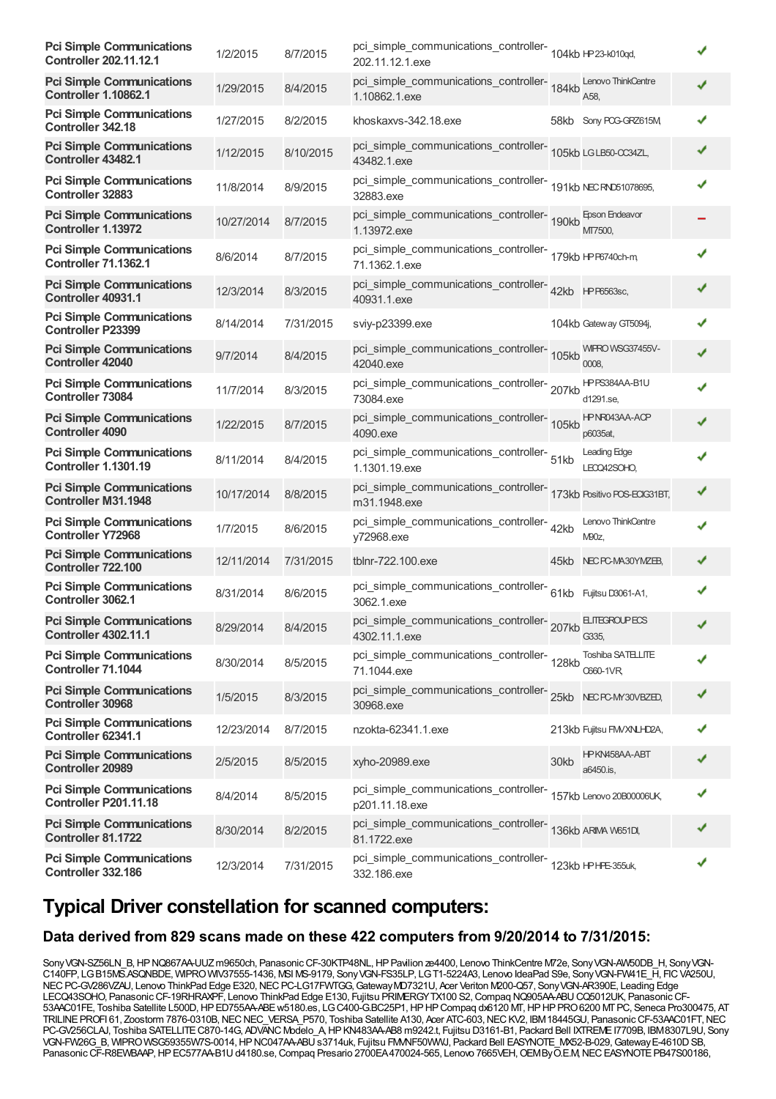| <b>Pci Simple Communications</b><br><b>Controller 202.11.12.1</b> | 1/2/2015   | 8/7/2015  | pci_simple_communications_controller-<br>104kb HP23-k010qd,<br>202.11.12.1.exe        |      |                                  |   |
|-------------------------------------------------------------------|------------|-----------|---------------------------------------------------------------------------------------|------|----------------------------------|---|
| <b>Pci Simple Communications</b><br><b>Controller 1.10862.1</b>   | 1/29/2015  | 8/4/2015  | pci_simple_communications_controller-<br>184kb<br>1.10862.1.exe                       |      | Lenovo ThinkCentre<br>A58.       |   |
| <b>Pci Simple Communications</b><br><b>Controller 342.18</b>      | 1/27/2015  | 8/2/2015  | khoskaxys-342.18.exe                                                                  |      | 58kb Sony PCG-GRZ615M            |   |
| <b>Pci Simple Communications</b><br>Controller 43482.1            | 1/12/2015  | 8/10/2015 | pci_simple_communications_controller-<br>105kb LGLB50-OC34ZL,<br>43482.1.exe          |      |                                  |   |
| <b>Pci Simple Communications</b><br><b>Controller 32883</b>       | 11/8/2014  | 8/9/2015  | pci_simple_communications_controller-<br>191kb NECRND51078695,<br>32883.exe           |      |                                  |   |
| <b>Pci Simple Communications</b><br>Controller 1.13972            | 10/27/2014 | 8/7/2015  | pci_simple_communications_controller-<br>190kb<br>1.13972.exe                         |      | <b>Epson Endeavor</b><br>MT7500, |   |
| <b>Pci Simple Communications</b><br><b>Controller 71.1362.1</b>   | 8/6/2014   | 8/7/2015  | pci_simple_communications_controller-<br>179kb HPF6740ch-m<br>71.1362.1.exe           |      |                                  |   |
| <b>Pci Simple Communications</b><br>Controller 40931.1            | 12/3/2014  | 8/3/2015  | pci_simple_communications_controller-<br>42kb<br>PP6563sc,<br>40931.1.exe             |      |                                  |   |
| <b>Pci Simple Communications</b><br><b>Controller P23399</b>      | 8/14/2014  | 7/31/2015 | sviy-p23399.exe                                                                       |      | 104kb Gateway GT5094j,           |   |
| <b>Pci Simple Communications</b><br><b>Controller 42040</b>       | 9/7/2014   | 8/4/2015  | pci_simple_communications_controller-<br>105kb<br>42040.exe                           |      | WIPRO WSG37455V-<br>0008.        |   |
| <b>Pci Simple Communications</b><br><b>Controller 73084</b>       | 11/7/2014  | 8/3/2015  | pci_simple_communications_controller-<br>207kb<br>73084.exe                           |      | HPPS384AA-B1U<br>d1291.se,       |   |
| <b>Pci Simple Communications</b><br><b>Controller 4090</b>        | 1/22/2015  | 8/7/2015  | pci_simple_communications_controller-<br>105kb<br>4090.exe                            |      | HPNR043AA-ACP<br>p6035at,        |   |
| <b>Pci Simple Communications</b><br><b>Controller 1.1301.19</b>   | 8/11/2014  | 8/4/2015  | pci_simple_communications_controller-<br>51kb<br>1.1301.19.exe                        |      | Leading Edge<br>LEOQ42SOHO,      |   |
| <b>Pci Simple Communications</b><br><b>Controller M31.1948</b>    | 10/17/2014 | 8/8/2015  | pci_simple_communications_controller-<br>173kb Positivo POS-ECIG31BT,<br>m31.1948.exe |      |                                  |   |
| <b>Pci Simple Communications</b><br><b>Controller Y72968</b>      | 1/7/2015   | 8/6/2015  | pci_simple_communications_controller-42kb<br>y72968.exe                               |      | Lenovo ThinkCentre<br>M90z,      |   |
| <b>Pci Simple Communications</b><br>Controller 722.100            | 12/11/2014 | 7/31/2015 | tblnr-722.100.exe                                                                     | 45kb | NEC PC-MA30YMZEB,                |   |
| <b>Pci Simple Communications</b><br>Controller 3062.1             | 8/31/2014  | 8/6/2015  | pci_simple_communications_controller-<br>61kb Fujitsu D3061-A1,<br>3062.1.exe         |      |                                  |   |
| <b>Pci Simple Communications</b><br><b>Controller 4302.11.1</b>   | 8/29/2014  | 8/4/2015  | pci_simple_communications_controller-<br>1999.11.1<br>4302.11.1.exe                   |      | G335,                            |   |
| <b>Pci Simple Communications</b><br>Controller 71.1044            | 8/30/2014  | 8/5/2015  | pci_simple_communications_controller-<br>128kb<br>71.1044.exe                         |      | Toshiba SATELLITE<br>0660-1VR    |   |
| <b>Pci Simple Communications</b><br><b>Controller 30968</b>       | 1/5/2015   | 8/3/2015  | pci_simple_communications_controller-<br>25kb NECFCMY30VBZED,<br>30968.exe            |      |                                  |   |
| <b>Pci Simple Communications</b><br>Controller 62341.1            | 12/23/2014 | 8/7/2015  | nzokta-62341.1.exe                                                                    |      | 213kb Fujitsu FMVXNLHD2A,        |   |
| <b>Pci Simple Communications</b><br><b>Controller 20989</b>       | 2/5/2015   | 8/5/2015  | xyho-20989.exe                                                                        | 30kb | HPKN458AA-ABT<br>a6450.is,       |   |
| <b>Pci Simple Communications</b><br><b>Controller P201.11.18</b>  | 8/4/2014   | 8/5/2015  | pci_simple_communications_controller-<br>p201.11.18.exe                               |      | 157kb Lenovo 20B00006UK,         |   |
| <b>Pci Simple Communications</b><br>Controller 81.1722            | 8/30/2014  | 8/2/2015  | pci_simple_communications_controller-<br>136kb ARMA W651D,<br>81.1722.exe             |      |                                  |   |
| <b>Pci Simple Communications</b><br>Controller 332.186            | 12/3/2014  | 7/31/2015 | pci_simple_communications_controller-<br>123kb HPHE-355uk,<br>332.186.exe             |      |                                  | ✔ |

### **Typical Driver constellation for scanned computers:**

### **Data derived from 829 scans made on these 422 computers from 9/20/2014 to 7/31/2015:**

Sony VGN-SZ56LN\_B, HP NQ867AA-UUZ m9650ch, Panasonic CF-30KTP48NL, HP Pavilion ze4400, Lenovo ThinkCentre M72e, Sony VGN-AW50DB\_H, Sony VGN-C140FP, LGB15MS.ASQNBDE, WIPROWIV37555-1436, MSI MS-9179, SonyVGN-FS35LP, LGT1-5224A3, Lenovo IdeaPad S9e, SonyVGN-FW41E\_H, FICVA250U, NEC PC-GV286VZAU, Lenovo ThinkPad Edge E320, NEC PC-LG17FWTGG, Gateway MD7321U, Acer Veriton M200-Q57, Sony VGN-AR390E, Leading Edge LECQ43SOHO, PanasonicCF-19RHRAXPF, Lenovo ThinkPad Edge E130, Fujitsu PRIMERGYTX100 S2,Compaq NQ905AA-ABUCQ5012UK, PanasonicCF-53AAC01FE, Toshiba Satellite L500D,HPED755AA-ABEw5180.es, LGC400-G.BC25P1,HPHPCompaq dx6120 MT,HPHPPRO6200 MTPC, Seneca Pro300475, AT TRILINE PROFI 61, Zoostorm 7876-0310B, NEC NEC VERSA P570, Toshiba Satellite A130, Acer ATC-603, NEC KV2, IBM 18445GU, Panasonic CF-53AAC01FT, NEC PC-GV256CLAJ, Toshiba SATELLITE C870-14G, ADVANC Modelo\_A, HP KN483AA-AB8 m9242.t, Fujitsu D3161-B1, Packard Bell IXTREME I7709B, IBM8307L9U, Sony VGN-FW26G\_B, WIPRO WSG59355W7S-0014, HP NC047AA-ABU s3714uk, Fujitsu FMMF50WWJ, Packard Bell EASYNOTE\_MX52-B-029, Gateway E-4610D SB, Panasonic CF-R8EWBAAP, HP EC577AA-B1U d4180.se, Compaq Presario 2700EA470024-565, Lenovo 7665VEH, OEMByO.E.M, NEC EASYNOTE PB47S00186,